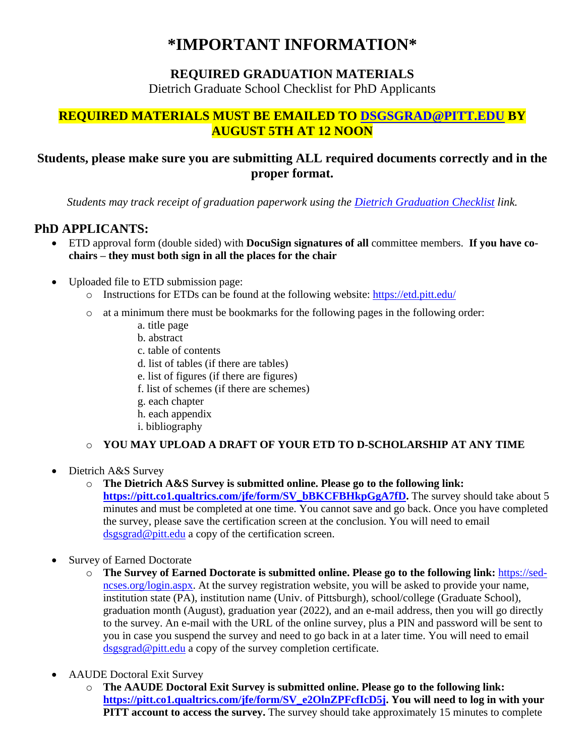# **\*IMPORTANT INFORMATION\***

## **REQUIRED GRADUATION MATERIALS**

Dietrich Graduate School Checklist for PhD Applicants

#### **REQUIRED MATERIALS MUST BE EMAILED TO [DSGSGRAD@PITT.EDU](mailto:DSGSGRAD@PITT.EDU) BY AUGUST 5TH AT 12 NOON**

## **Students, please make sure you are submitting ALL required documents correctly and in the proper format.**

*Students may track receipt of graduation paperwork using the [Dietrich Graduation Checklist](https://apps.powerapps.com/play/340eb20e-54fb-40a5-a010-fbd5208cbb19?tenantId=9ef9f489-e0a0-4eeb-87cc-3a526112fd0d&source=portal&screenColor=RGBA%280%2c176%2c240%2c1%29) link.*

#### **PhD APPLICANTS:**

- ETD approval form (double sided) with **DocuSign signatures of all** committee members. **If you have cochairs – they must both sign in all the places for the chair**
- Uploaded file to ETD submission page:
	- o Instructions for ETDs can be found at the following website:<https://etd.pitt.edu/>
	- o at a minimum there must be bookmarks for the following pages in the following order:
		- a. title page
		- b. abstract
		- c. table of contents
		- d. list of tables (if there are tables)
		- e. list of figures (if there are figures)
		- f. list of schemes (if there are schemes)
		- g. each chapter
		- h. each appendix
		- i. bibliography

#### o **YOU MAY UPLOAD A DRAFT OF YOUR ETD TO D-SCHOLARSHIP AT ANY TIME**

• Dietrich A&S Survey

#### o **The Dietrich A&S Survey is submitted online. Please go to the following link:**

**[https://pitt.co1.qualtrics.com/jfe/form/SV\\_bBKCFBHkpGgA7fD.](https://pitt.co1.qualtrics.com/jfe/form/SV_bBKCFBHkpGgA7fD)** The survey should take about 5 minutes and must be completed at one time. You cannot save and go back. Once you have completed the survey, please save the certification screen at the conclusion. You will need to email [dsgsgrad@pitt.edu](mailto:DSGSGRAD@PITT.EDU) a copy of the certification screen.

- Survey of Earned Doctorate
	- o **The Survey of Earned Doctorate is submitted online. Please go to the following link:** [https://sed](https://nam05.safelinks.protection.outlook.com/?url=https%3A%2F%2Fsed-ncses.org%2Flogin.aspx&data=02%7C01%7Ckatelyn_white%40pitt.edu%7Cc422623df02344c1be0d08d7402b50c0%7C9ef9f489e0a04eeb87cc3a526112fd0d%7C1%7C0%7C637048428132874031&sdata=63q74U03nQBkfvv3Dfp3sbV4HkezncEJwUMKeMSygug%3D&reserved=0)[ncses.org/login.aspx.](https://nam05.safelinks.protection.outlook.com/?url=https%3A%2F%2Fsed-ncses.org%2Flogin.aspx&data=02%7C01%7Ckatelyn_white%40pitt.edu%7Cc422623df02344c1be0d08d7402b50c0%7C9ef9f489e0a04eeb87cc3a526112fd0d%7C1%7C0%7C637048428132874031&sdata=63q74U03nQBkfvv3Dfp3sbV4HkezncEJwUMKeMSygug%3D&reserved=0) At the survey registration website, you will be asked to provide your name, institution state (PA), institution name (Univ. of Pittsburgh), school/college (Graduate School), graduation month (August), graduation year (2022), and an e-mail address, then you will go directly to the survey. An e-mail with the URL of the online survey, plus a PIN and password will be sent to you in case you suspend the survey and need to go back in at a later time. You will need to email [dsgsgrad@pitt.edu](mailto:DSGSGRAD@PITT.EDU) a copy of the survey completion certificate.
- AAUDE Doctoral Exit Survey
	- o **The AAUDE Doctoral Exit Survey is submitted online. Please go to the following link: [https://pitt.co1.qualtrics.com/jfe/form/SV\\_e2OlnZPFcfIcD5j.](https://pitt.co1.qualtrics.com/jfe/form/SV_e2OlnZPFcfIcD5j) You will need to log in with your PITT account to access the survey.** The survey should take approximately 15 minutes to complete